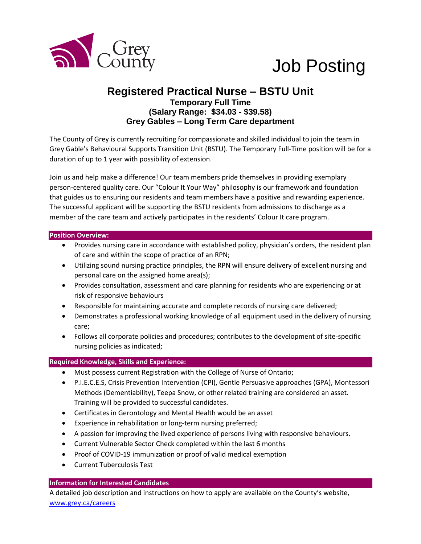

# Job Posting

## **Registered Practical Nurse – BSTU Unit Temporary Full Time (Salary Range: \$34.03 - \$39.58) Grey Gables – Long Term Care department**

The County of Grey is currently recruiting for compassionate and skilled individual to join the team in Grey Gable's Behavioural Supports Transition Unit (BSTU). The Temporary Full-Time position will be for a duration of up to 1 year with possibility of extension.

Join us and help make a difference! Our team members pride themselves in providing exemplary person-centered quality care. Our "Colour It Your Way" philosophy is our framework and foundation that guides us to ensuring our residents and team members have a positive and rewarding experience. The successful applicant will be supporting the BSTU residents from admissions to discharge as a member of the care team and actively participates in the residents' Colour It care program.

#### **Position Overview:**

- Provides nursing care in accordance with established policy, physician's orders, the resident plan of care and within the scope of practice of an RPN;
- Utilizing sound nursing practice principles, the RPN will ensure delivery of excellent nursing and personal care on the assigned home area(s);
- Provides consultation, assessment and care planning for residents who are experiencing or at risk of responsive behaviours
- Responsible for maintaining accurate and complete records of nursing care delivered;
- Demonstrates a professional working knowledge of all equipment used in the delivery of nursing care;
- Follows all corporate policies and procedures; contributes to the development of site-specific nursing policies as indicated;

### **Required Knowledge, Skills and Experience:**

- Must possess current Registration with the College of Nurse of Ontario;
- P.I.E.C.E.S, Crisis Prevention Intervention (CPI), Gentle Persuasive approaches (GPA), Montessori Methods (Dementiability), Teepa Snow, or other related training are considered an asset. Training will be provided to successful candidates.
- Certificates in Gerontology and Mental Health would be an asset
- Experience in rehabilitation or long-term nursing preferred;
- A passion for improving the lived experience of persons living with responsive behaviours.
- Current Vulnerable Sector Check completed within the last 6 months
- Proof of COVID-19 immunization or proof of valid medical exemption
- Current Tuberculosis Test

### **Information for Interested Candidates**

A detailed job description and instructions on how to apply are available on the County's website, [www.grey.ca/careers](http://www.grey.ca/careers)